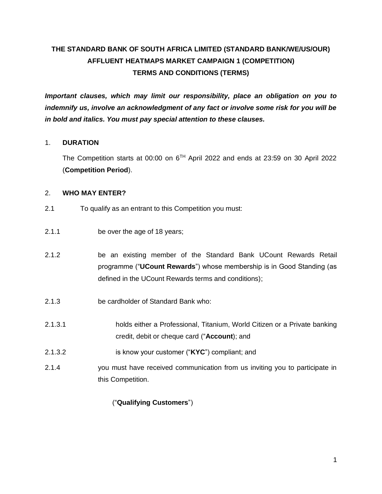# **THE STANDARD BANK OF SOUTH AFRICA LIMITED (STANDARD BANK/WE/US/OUR) AFFLUENT HEATMAPS MARKET CAMPAIGN 1 (COMPETITION) TERMS AND CONDITIONS (TERMS)**

*Important clauses, which may limit our responsibility, place an obligation on you to indemnify us, involve an acknowledgment of any fact or involve some risk for you will be in bold and italics. You must pay special attention to these clauses.* 

#### 1. **DURATION**

The Competition starts at 00:00 on  $6<sup>TH</sup>$  April 2022 and ends at 23:59 on 30 April 2022 (**Competition Period**).

#### 2. **WHO MAY ENTER?**

- 2.1 To qualify as an entrant to this Competition you must:
- 2.1.1 be over the age of 18 years;
- 2.1.2 be an existing member of the Standard Bank UCount Rewards Retail programme ("**UCount Rewards**") whose membership is in Good Standing (as defined in the UCount Rewards terms and conditions);
- 2.1.3 be cardholder of Standard Bank who:
- 2.1.3.1 holds either a Professional, Titanium, World Citizen or a Private banking credit, debit or cheque card ("**Account**); and
- 2.1.3.2 is know your customer ("**KYC**") compliant; and
- 2.1.4 you must have received communication from us inviting you to participate in this Competition.

### ("**Qualifying Customers**")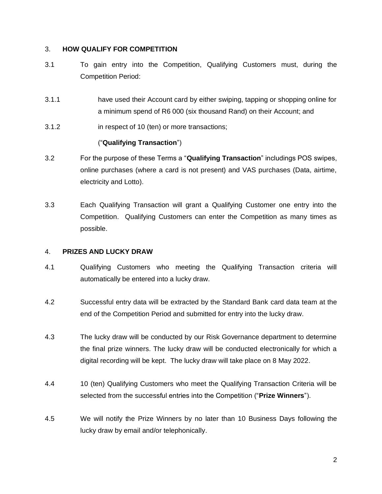#### 3. **HOW QUALIFY FOR COMPETITION**

- 3.1 To gain entry into the Competition, Qualifying Customers must, during the Competition Period:
- 3.1.1 have used their Account card by either swiping, tapping or shopping online for a minimum spend of R6 000 (six thousand Rand) on their Account; and
- 3.1.2 in respect of 10 (ten) or more transactions;

## ("**Qualifying Transaction**")

- 3.2 For the purpose of these Terms a "**Qualifying Transaction**" includings POS swipes, online purchases (where a card is not present) and VAS purchases (Data, airtime, electricity and Lotto).
- 3.3 Each Qualifying Transaction will grant a Qualifying Customer one entry into the Competition. Qualifying Customers can enter the Competition as many times as possible.

#### 4. **PRIZES AND LUCKY DRAW**

- 4.1 Qualifying Customers who meeting the Qualifying Transaction criteria will automatically be entered into a lucky draw.
- 4.2 Successful entry data will be extracted by the Standard Bank card data team at the end of the Competition Period and submitted for entry into the lucky draw.
- 4.3 The lucky draw will be conducted by our Risk Governance department to determine the final prize winners. The lucky draw will be conducted electronically for which a digital recording will be kept. The lucky draw will take place on 8 May 2022.
- 4.4 10 (ten) Qualifying Customers who meet the Qualifying Transaction Criteria will be selected from the successful entries into the Competition ("**Prize Winners**").
- 4.5 We will notify the Prize Winners by no later than 10 Business Days following the lucky draw by email and/or telephonically.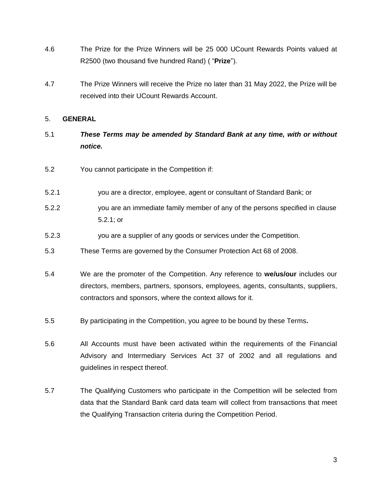- 4.6 The Prize for the Prize Winners will be 25 000 UCount Rewards Points valued at R2500 (two thousand five hundred Rand) ( "**Prize**").
- 4.7 The Prize Winners will receive the Prize no later than 31 May 2022, the Prize will be received into their UCount Rewards Account.

#### 5. **GENERAL**

- 5.1 *These Terms may be amended by Standard Bank at any time, with or without notice.*
- 5.2 You cannot participate in the Competition if:
- 5.2.1 you are a director, employee, agent or consultant of Standard Bank; or
- 5.2.2 you are an immediate family member of any of the persons specified in clause 5.2.1; or
- 5.2.3 you are a supplier of any goods or services under the Competition.
- 5.3 These Terms are governed by the Consumer Protection Act 68 of 2008.
- 5.4 We are the promoter of the Competition. Any reference to **we/us/our** includes our directors, members, partners, sponsors, employees, agents, consultants, suppliers, contractors and sponsors, where the context allows for it.
- 5.5 By participating in the Competition, you agree to be bound by these Terms**.**
- 5.6 All Accounts must have been activated within the requirements of the Financial Advisory and Intermediary Services Act 37 of 2002 and all regulations and guidelines in respect thereof.
- 5.7 The Qualifying Customers who participate in the Competition will be selected from data that the Standard Bank card data team will collect from transactions that meet the Qualifying Transaction criteria during the Competition Period.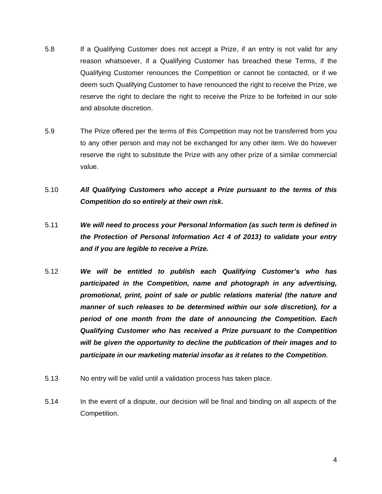- 5.8 If a Qualifying Customer does not accept a Prize, if an entry is not valid for any reason whatsoever, if a Qualifying Customer has breached these Terms, if the Qualifying Customer renounces the Competition or cannot be contacted, or if we deem such Qualifying Customer to have renounced the right to receive the Prize, we reserve the right to declare the right to receive the Prize to be forfeited in our sole and absolute discretion.
- 5.9 The Prize offered per the terms of this Competition may not be transferred from you to any other person and may not be exchanged for any other item. We do however reserve the right to substitute the Prize with any other prize of a similar commercial value.
- 5.10 *All Qualifying Customers who accept a Prize pursuant to the terms of this Competition do so entirely at their own risk.*
- 5.11 *We will need to process your Personal Information (as such term is defined in the Protection of Personal Information Act 4 of 2013) to validate your entry and if you are legible to receive a Prize.*
- 5.12 *We will be entitled to publish each Qualifying Customer's who has participated in the Competition, name and photograph in any advertising, promotional, print, point of sale or public relations material (the nature and manner of such releases to be determined within our sole discretion), for a period of one month from the date of announcing the Competition. Each Qualifying Customer who has received a Prize pursuant to the Competition will be given the opportunity to decline the publication of their images and to participate in our marketing material insofar as it relates to the Competition.*
- 5.13 No entry will be valid until a validation process has taken place.
- 5.14 In the event of a dispute, our decision will be final and binding on all aspects of the Competition.